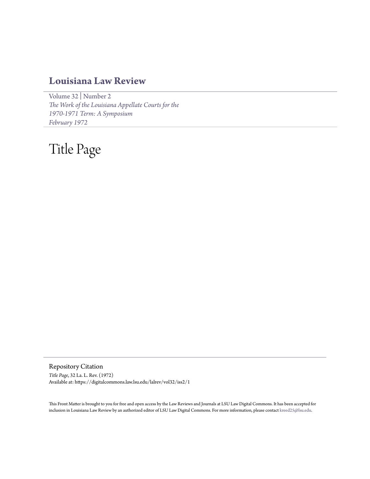## **[Louisiana Law Review](https://digitalcommons.law.lsu.edu/lalrev)**

[Volume 32](https://digitalcommons.law.lsu.edu/lalrev/vol32) | [Number 2](https://digitalcommons.law.lsu.edu/lalrev/vol32/iss2) *[The Work of the Louisiana Appellate Courts for the](https://digitalcommons.law.lsu.edu/lalrev/vol32/iss2) [1970-1971 Term: A Symposium](https://digitalcommons.law.lsu.edu/lalrev/vol32/iss2) [February 1972](https://digitalcommons.law.lsu.edu/lalrev/vol32/iss2)*

## Title Page

Repository Citation *Title Page*, 32 La. L. Rev. (1972) Available at: https://digitalcommons.law.lsu.edu/lalrev/vol32/iss2/1

This Front Matter is brought to you for free and open access by the Law Reviews and Journals at LSU Law Digital Commons. It has been accepted for inclusion in Louisiana Law Review by an authorized editor of LSU Law Digital Commons. For more information, please contact [kreed25@lsu.edu](mailto:kreed25@lsu.edu).